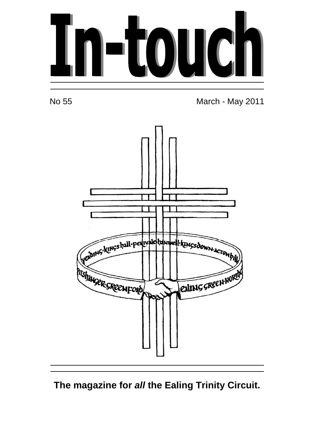

No 55 March - May 2011



**The magazine for all the Ealing Trinity Circuit.**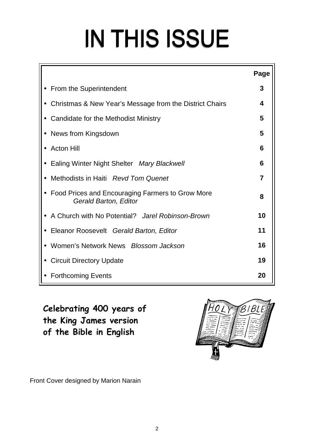# IN THIS ISSUE

|                                                                           | Page |  |  |  |
|---------------------------------------------------------------------------|------|--|--|--|
| From the Superintendent                                                   | 3    |  |  |  |
| • Christmas & New Year's Message from the District Chairs<br>4            |      |  |  |  |
| Candidate for the Methodist Ministry                                      | 5    |  |  |  |
| News from Kingsdown                                                       | 5    |  |  |  |
| <b>Acton Hill</b>                                                         | 6    |  |  |  |
| Ealing Winter Night Shelter Mary Blackwell                                | 6    |  |  |  |
| Methodists in Haiti Revd Tom Quenet                                       | 7    |  |  |  |
| Food Prices and Encouraging Farmers to Grow More<br>Gerald Barton, Editor | 8    |  |  |  |
| • A Church with No Potential? Jarel Robinson-Brown                        | 10   |  |  |  |
| Eleanor Roosevelt Gerald Barton, Editor                                   | 11   |  |  |  |
| Women's Network News Blossom Jackson                                      | 16   |  |  |  |
| <b>Circuit Directory Update</b>                                           | 19   |  |  |  |
| <b>Forthcoming Events</b>                                                 | 20   |  |  |  |

**Celebrating 400 years of the King James version of the Bible in English** 



Front Cover designed by Marion Narain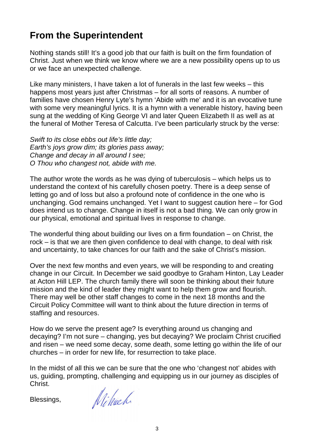# **From the Superintendent**

Nothing stands still! It's a good job that our faith is built on the firm foundation of Christ. Just when we think we know where we are a new possibility opens up to us or we face an unexpected challenge.

Like many ministers, I have taken a lot of funerals in the last few weeks – this happens most years just after Christmas – for all sorts of reasons. A number of families have chosen Henry Lyte's hymn 'Abide with me' and it is an evocative tune with some very meaningful lyrics. It is a hymn with a venerable history, having been sung at the wedding of King George VI and later Queen Elizabeth II as well as at the funeral of Mother Teresa of Calcutta. I've been particularly struck by the verse:

Swift to its close ebbs out life's little day; Earth's joys grow dim; its glories pass away; Change and decay in all around I see; O Thou who changest not, abide with me.

The author wrote the words as he was dying of tuberculosis – which helps us to understand the context of his carefully chosen poetry. There is a deep sense of letting go and of loss but also a profound note of confidence in the one who is unchanging. God remains unchanged. Yet I want to suggest caution here – for God does intend us to change. Change in itself is not a bad thing. We can only grow in our physical, emotional and spiritual lives in response to change.

The wonderful thing about building our lives on a firm foundation – on Christ, the rock – is that we are then given confidence to deal with change, to deal with risk and uncertainty, to take chances for our faith and the sake of Christ's mission.

Over the next few months and even years, we will be responding to and creating change in our Circuit. In December we said goodbye to Graham Hinton, Lay Leader at Acton Hill LEP. The church family there will soon be thinking about their future mission and the kind of leader they might want to help them grow and flourish. There may well be other staff changes to come in the next 18 months and the Circuit Policy Committee will want to think about the future direction in terms of staffing and resources.

How do we serve the present age? Is everything around us changing and decaying? I'm not sure – changing, yes but decaying? We proclaim Christ crucified and risen – we need some decay, some death, some letting go within the life of our churches – in order for new life, for resurrection to take place.

In the midst of all this we can be sure that the one who 'changest not' abides with us, guiding, prompting, challenging and equipping us in our journey as disciples of Christ.

Blessings,

Nihach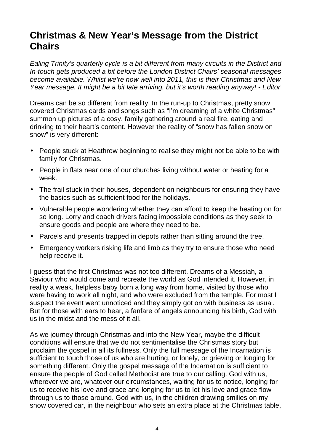## **Christmas & New Year's Message from the District Chairs**

Ealing Trinity's quarterly cycle is a bit different from many circuits in the District and In-touch gets produced a bit before the London District Chairs' seasonal messages become available. Whilst we're now well into 2011, this is their Christmas and New Year message. It might be a bit late arriving, but it's worth reading anyway! - Editor

Dreams can be so different from reality! In the run-up to Christmas, pretty snow covered Christmas cards and songs such as "I'm dreaming of a white Christmas" summon up pictures of a cosy, family gathering around a real fire, eating and drinking to their heart's content. However the reality of "snow has fallen snow on snow" is very different:

- People stuck at Heathrow beginning to realise they might not be able to be with family for Christmas.
- People in flats near one of our churches living without water or heating for a week.
- The frail stuck in their houses, dependent on neighbours for ensuring they have the basics such as sufficient food for the holidays.
- Vulnerable people wondering whether they can afford to keep the heating on for so long. Lorry and coach drivers facing impossible conditions as they seek to ensure goods and people are where they need to be.
- Parcels and presents trapped in depots rather than sitting around the tree.
- Emergency workers risking life and limb as they try to ensure those who need help receive it.

I guess that the first Christmas was not too different. Dreams of a Messiah, a Saviour who would come and recreate the world as God intended it. However, in reality a weak, helpless baby born a long way from home, visited by those who were having to work all night, and who were excluded from the temple. For most I suspect the event went unnoticed and they simply got on with business as usual. But for those with ears to hear, a fanfare of angels announcing his birth, God with us in the midst and the mess of it all.

As we journey through Christmas and into the New Year, maybe the difficult conditions will ensure that we do not sentimentalise the Christmas story but proclaim the gospel in all its fullness. Only the full message of the Incarnation is sufficient to touch those of us who are hurting, or lonely, or grieving or longing for something different. Only the gospel message of the Incarnation is sufficient to ensure the people of God called Methodist are true to our calling. God with us, wherever we are, whatever our circumstances, waiting for us to notice, longing for us to receive his love and grace and longing for us to let his love and grace flow through us to those around. God with us, in the children drawing smilies on my snow covered car, in the neighbour who sets an extra place at the Christmas table,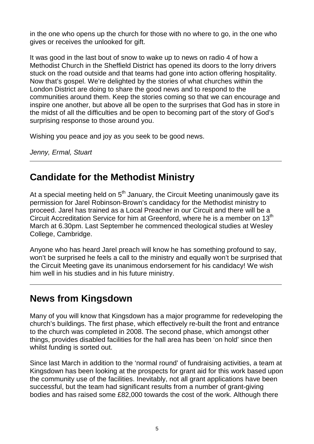in the one who opens up the church for those with no where to go, in the one who gives or receives the unlooked for gift.

It was good in the last bout of snow to wake up to news on radio 4 of how a Methodist Church in the Sheffield District has opened its doors to the lorry drivers stuck on the road outside and that teams had gone into action offering hospitality. Now that's gospel. We're delighted by the stories of what churches within the London District are doing to share the good news and to respond to the communities around them. Keep the stories coming so that we can encourage and inspire one another, but above all be open to the surprises that God has in store in the midst of all the difficulties and be open to becoming part of the story of God's surprising response to those around you.

Wishing you peace and joy as you seek to be good news.

Jenny, Ermal, Stuart

## **Candidate for the Methodist Ministry**

At a special meeting held on  $5<sup>th</sup>$  January, the Circuit Meeting unanimously gave its permission for Jarel Robinson-Brown's candidacy for the Methodist ministry to proceed. Jarel has trained as a Local Preacher in our Circuit and there will be a Circuit Accreditation Service for him at Greenford, where he is a member on 13<sup>th</sup> March at 6.30pm. Last September he commenced theological studies at Wesley College, Cambridge.

Anyone who has heard Jarel preach will know he has something profound to say, won't be surprised he feels a call to the ministry and equally won't be surprised that the Circuit Meeting gave its unanimous endorsement for his candidacy! We wish him well in his studies and in his future ministry.

# **News from Kingsdown**

Many of you will know that Kingsdown has a major programme for redeveloping the church's buildings. The first phase, which effectively re-built the front and entrance to the church was completed in 2008. The second phase, which amongst other things, provides disabled facilities for the hall area has been 'on hold' since then whilst funding is sorted out.

Since last March in addition to the 'normal round' of fundraising activities, a team at Kingsdown has been looking at the prospects for grant aid for this work based upon the community use of the facilities. Inevitably, not all grant applications have been successful, but the team had significant results from a number of grant-giving bodies and has raised some £82,000 towards the cost of the work. Although there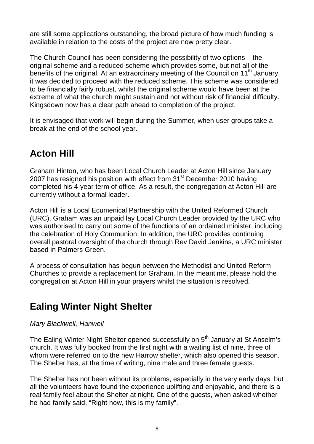are still some applications outstanding, the broad picture of how much funding is available in relation to the costs of the project are now pretty clear.

The Church Council has been considering the possibility of two options – the original scheme and a reduced scheme which provides some, but not all of the benefits of the original. At an extraordinary meeting of the Council on 11<sup>th</sup> January, it was decided to proceed with the reduced scheme. This scheme was considered to be financially fairly robust, whilst the original scheme would have been at the extreme of what the church might sustain and not without risk of financial difficulty. Kingsdown now has a clear path ahead to completion of the project.

It is envisaged that work will begin during the Summer, when user groups take a break at the end of the school year.

# **Acton Hill**

Graham Hinton, who has been Local Church Leader at Acton Hill since January 2007 has resigned his position with effect from 31<sup>st</sup> December 2010 having completed his 4-year term of office. As a result, the congregation at Acton Hill are currently without a formal leader.

Acton Hill is a Local Ecumenical Partnership with the United Reformed Church (URC). Graham was an unpaid lay Local Church Leader provided by the URC who was authorised to carry out some of the functions of an ordained minister, including the celebration of Holy Communion. In addition, the URC provides continuing overall pastoral oversight of the church through Rev David Jenkins, a URC minister based in Palmers Green.

A process of consultation has begun between the Methodist and United Reform Churches to provide a replacement for Graham. In the meantime, please hold the congregation at Acton Hill in your prayers whilst the situation is resolved.

# **Ealing Winter Night Shelter**

#### Mary Blackwell, Hanwell

The Ealing Winter Night Shelter opened successfully on 5<sup>th</sup> January at St Anselm's church. It was fully booked from the first night with a waiting list of nine, three of whom were referred on to the new Harrow shelter, which also opened this season. The Shelter has, at the time of writing, nine male and three female guests.

The Shelter has not been without its problems, especially in the very early days, but all the volunteers have found the experience uplifting and enjoyable, and there is a real family feel about the Shelter at night. One of the guests, when asked whether he had family said, "Right now, this is my family".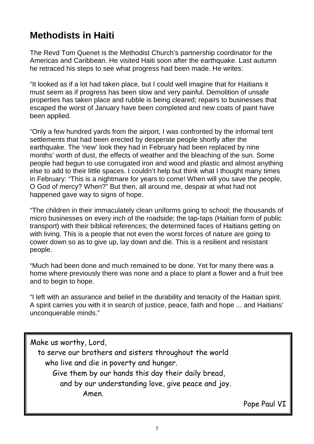# **Methodists in Haiti**

The Revd Tom Quenet is the Methodist Church's partnership coordinator for the Americas and Caribbean. He visited Haiti soon after the earthquake. Last autumn he retraced his steps to see what progress had been made. He writes:

"It looked as if a lot had taken place, but I could well imagine that for Haitians it must seem as if progress has been slow and very painful. Demolition of unsafe properties has taken place and rubble is being cleared; repairs to businesses that escaped the worst of January have been completed and new coats of paint have been applied.

"Only a few hundred yards from the airport, I was confronted by the informal tent settlements that had been erected by desperate people shortly after the earthquake. The 'new' look they had in February had been replaced by nine months' worth of dust, the effects of weather and the bleaching of the sun. Some people had begun to use corrugated iron and wood and plastic and almost anything else to add to their little spaces. I couldn't help but think what I thought many times in February: "This is a nightmare for years to come! When will you save the people, O God of mercy? When?" But then, all around me, despair at what had not happened gave way to signs of hope.

"The children in their immaculately clean uniforms going to school; the thousands of micro businesses on every inch of the roadside; the tap-taps (Haitian form of public transport) with their biblical references; the determined faces of Haitians getting on with living. This is a people that not even the worst forces of nature are going to cower down so as to give up, lay down and die. This is a resilient and resistant people.

"Much had been done and much remained to be done. Yet for many there was a home where previously there was none and a place to plant a flower and a fruit tree and to begin to hope.

"I left with an assurance and belief in the durability and tenacity of the Haitian spirit. A spirit carries you with it in search of justice, peace, faith and hope ... and Haitians' unconquerable minds."

Make us worthy, Lord, to serve our brothers and sisters throughout the world who live and die in poverty and hunger. Give them by our hands this day their daily bread, and by our understanding love, give peace and joy. Amen.

Pope Paul VI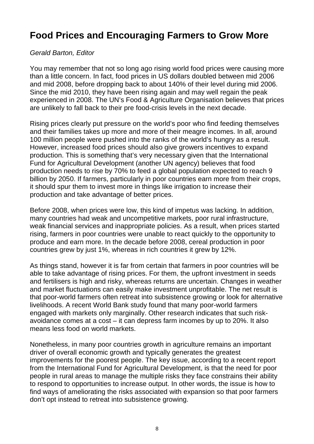# **Food Prices and Encouraging Farmers to Grow More**

#### Gerald Barton, Editor

You may remember that not so long ago rising world food prices were causing more than a little concern. In fact, food prices in US dollars doubled between mid 2006 and mid 2008, before dropping back to about 140% of their level during mid 2006. Since the mid 2010, they have been rising again and may well regain the peak experienced in 2008. The UN's Food & Agriculture Organisation believes that prices are unlikely to fall back to their pre food-crisis levels in the next decade.

Rising prices clearly put pressure on the world's poor who find feeding themselves and their families takes up more and more of their meagre incomes. In all, around 100 million people were pushed into the ranks of the world's hungry as a result. However, increased food prices should also give growers incentives to expand production. This is something that's very necessary given that the International Fund for Agricultural Development (another UN agency) believes that food production needs to rise by 70% to feed a global population expected to reach 9 billion by 2050. If farmers, particularly in poor countries earn more from their crops, it should spur them to invest more in things like irrigation to increase their production and take advantage of better prices.

Before 2008, when prices were low, this kind of impetus was lacking. In addition, many countries had weak and uncompetitive markets, poor rural infrastructure, weak financial services and inappropriate policies. As a result, when prices started rising, farmers in poor countries were unable to react quickly to the opportunity to produce and earn more. In the decade before 2008, cereal production in poor countries grew by just 1%, whereas in rich countries it grew by 12%.

As things stand, however it is far from certain that farmers in poor countries will be able to take advantage of rising prices. For them, the upfront investment in seeds and fertilisers is high and risky, whereas returns are uncertain. Changes in weather and market fluctuations can easily make investment unprofitable. The net result is that poor-world farmers often retreat into subsistence growing or look for alternative livelihoods. A recent World Bank study found that many poor-world farmers engaged with markets only marginally. Other research indicates that such riskavoidance comes at a cost – it can depress farm incomes by up to 20%. It also means less food on world markets.

Nonetheless, in many poor countries growth in agriculture remains an important driver of overall economic growth and typically generates the greatest improvements for the poorest people. The key issue, according to a recent report from the International Fund for Agricultural Development, is that the need for poor people in rural areas to manage the multiple risks they face constrains their ability to respond to opportunities to increase output. In other words, the issue is how to find ways of ameliorating the risks associated with expansion so that poor farmers don't opt instead to retreat into subsistence growing.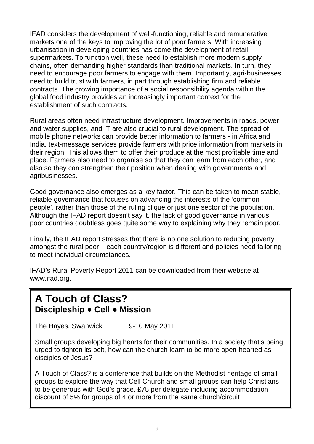IFAD considers the development of well-functioning, reliable and remunerative markets one of the keys to improving the lot of poor farmers. With increasing urbanisation in developing countries has come the development of retail supermarkets. To function well, these need to establish more modern supply chains, often demanding higher standards than traditional markets. In turn, they need to encourage poor farmers to engage with them. Importantly, agri-businesses need to build trust with farmers, in part through establishing firm and reliable contracts. The growing importance of a social responsibility agenda within the global food industry provides an increasingly important context for the establishment of such contracts.

Rural areas often need infrastructure development. Improvements in roads, power and water supplies, and IT are also crucial to rural development. The spread of mobile phone networks can provide better information to farmers - in Africa and India, text-message services provide farmers with price information from markets in their region. This allows them to offer their produce at the most profitable time and place. Farmers also need to organise so that they can learn from each other, and also so they can strengthen their position when dealing with governments and agribusinesses.

Good governance also emerges as a key factor. This can be taken to mean stable, reliable governance that focuses on advancing the interests of the 'common people', rather than those of the ruling clique or just one sector of the population. Although the IFAD report doesn't say it, the lack of good governance in various poor countries doubtless goes quite some way to explaining why they remain poor.

Finally, the IFAD report stresses that there is no one solution to reducing poverty amongst the rural poor – each country/region is different and policies need tailoring to meet individual circumstances.

IFAD's Rural Poverty Report 2011 can be downloaded from their website at www.ifad.org.

# **A Touch of Class? Discipleship ● Cell ● Mission**

The Hayes, Swanwick 9-10 May 2011

Small groups developing big hearts for their communities. In a society that's being urged to tighten its belt, how can the church learn to be more open-hearted as disciples of Jesus?

A Touch of Class? is a conference that builds on the Methodist heritage of small groups to explore the way that Cell Church and small groups can help Christians to be generous with God's grace. £75 per delegate including accommodation – discount of 5% for groups of 4 or more from the same church/circuit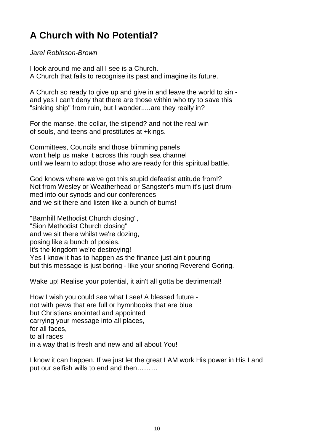# **A Church with No Potential?**

Jarel Robinson-Brown

I look around me and all I see is a Church. A Church that fails to recognise its past and imagine its future.

A Church so ready to give up and give in and leave the world to sin and yes I can't deny that there are those within who try to save this "sinking ship" from ruin, but I wonder.....are they really in?

For the manse, the collar, the stipend? and not the real win of souls, and teens and prostitutes at +kings.

Committees, Councils and those blimming panels won't help us make it across this rough sea channel until we learn to adopt those who are ready for this spiritual battle.

God knows where we've got this stupid defeatist attitude from!? Not from Wesley or Weatherhead or Sangster's mum it's just drummed into our synods and our conferences and we sit there and listen like a bunch of bums!

"Barnhill Methodist Church closing", "Sion Methodist Church closing" and we sit there whilst we're dozing, posing like a bunch of posies. It's the kingdom we're destroying! Yes I know it has to happen as the finance just ain't pouring but this message is just boring - like your snoring Reverend Goring.

Wake up! Realise your potential, it ain't all gotta be detrimental!

How I wish you could see what I see! A blessed future not with pews that are full or hymnbooks that are blue but Christians anointed and appointed carrying your message into all places, for all faces, to all races in a way that is fresh and new and all about You!

I know it can happen. If we just let the great I AM work His power in His Land put our selfish wills to end and then………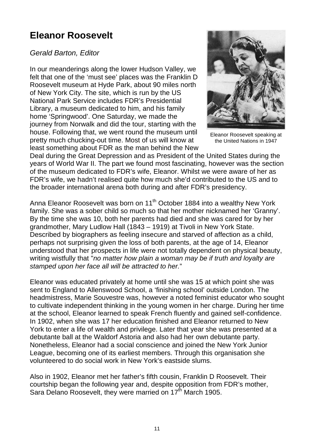# **Eleanor Roosevelt**

#### Gerald Barton, Editor

In our meanderings along the lower Hudson Valley, we felt that one of the 'must see' places was the Franklin D Roosevelt museum at Hyde Park, about 90 miles north of New York City. The site, which is run by the US National Park Service includes FDR's Presidential Library, a museum dedicated to him, and his family home 'Springwood'. One Saturday, we made the journey from Norwalk and did the tour, starting with the house. Following that, we went round the museum until pretty much chucking-out time. Most of us will know at least something about FDR as the man behind the New



Eleanor Roosevelt speaking at the United Nations in 1947

Deal during the Great Depression and as President of the United States during the years of World War II. The part we found most fascinating, however was the section of the museum dedicated to FDR's wife, Eleanor. Whilst we were aware of her as FDR's wife, we hadn't realised quite how much she'd contributed to the US and to the broader international arena both during and after FDR's presidency.

Anna Eleanor Roosevelt was born on 11<sup>th</sup> October 1884 into a wealthy New York family. She was a sober child so much so that her mother nicknamed her 'Granny'. By the time she was 10, both her parents had died and she was cared for by her grandmother, Mary Ludlow Hall (1843 – 1919) at Tivoli in New York State. Described by biographers as feeling insecure and starved of affection as a child, perhaps not surprising given the loss of both parents, at the age of 14, Eleanor understood that her prospects in life were not totally dependent on physical beauty, writing wistfully that "no matter how plain a woman may be if truth and loyalty are stamped upon her face all will be attracted to her."

Eleanor was educated privately at home until she was 15 at which point she was sent to England to Allenswood School, a 'finishing school' outside London. The headmistress, Marie Souvestre was, however a noted feminist educator who sought to cultivate independent thinking in the young women in her charge. During her time at the school, Eleanor learned to speak French fluently and gained self-confidence. In 1902, when she was 17 her education finished and Eleanor returned to New York to enter a life of wealth and privilege. Later that year she was presented at a debutante ball at the Waldorf Astoria and also had her own debutante party. Nonetheless, Eleanor had a social conscience and joined the New York Junior League, becoming one of its earliest members. Through this organisation she volunteered to do social work in New York's eastside slums.

Also in 1902, Eleanor met her father's fifth cousin, Franklin D Roosevelt. Their courtship began the following year and, despite opposition from FDR's mother, Sara Delano Roosevelt, they were married on 17<sup>th</sup> March 1905.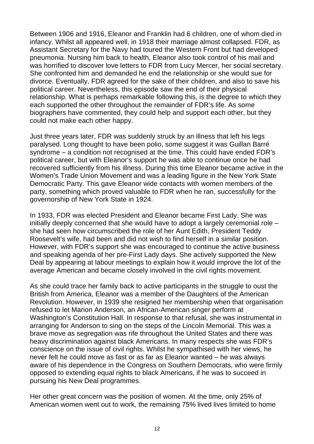Between 1906 and 1916, Eleanor and Franklin had 6 children, one of whom died in infancy. Whilst all appeared well, in 1918 their marriage almost collapsed. FDR, as Assistant Secretary for the Navy had toured the Western Front but had developed pneumonia. Nursing him back to health, Eleanor also took control of his mail and was horrified to discover love letters to FDR from Lucy Mercer, her social secretary. She confronted him and demanded he end the relationship or she would sue for divorce. Eventually, FDR agreed for the sake of their children, and also to save his political career. Nevertheless, this episode saw the end of their physical relationship. What is perhaps remarkable following this, is the degree to which they each supported the other throughout the remainder of FDR's life. As some biographers have commented, they could help and support each other, but they could not make each other happy.

Just three years later, FDR was suddenly struck by an illness that left his legs paralysed. Long thought to have been polio, some suggest it was Guillan Barré syndrome – a condition not recognised at the time. This could have ended FDR's political career, but with Eleanor's support he was able to continue once he had recovered sufficiently from his illness. During this time Eleanor became active in the Women's Trade Union Movement and was a leading figure in the New York State Democratic Party. This gave Eleanor wide contacts with women members of the party, something which proved valuable to FDR when he ran, successfully for the governorship of New York State in 1924.

In 1933, FDR was elected President and Eleanor became First Lady. She was initially deeply concerned that she would have to adopt a largely ceremonial role – she had seen how circumscribed the role of her Aunt Edith, President Teddy Roosevelt's wife, had been and did not wish to find herself in a similar position. However, with FDR's support she was encouraged to continue the active business and speaking agenda of her pre-First Lady days. She actively supported the New Deal by appearing at labour meetings to explain how it would improve the lot of the average American and became closely involved in the civil rights movement.

As she could trace her family back to active participants in the struggle to oust the British from America, Eleanor was a member of the Daughters of the American Revolution. However, in 1939 she resigned her membership when that organisation refused to let Marion Anderson, an African-American singer perform at Washington's Constitution Hall. In response to that refusal, she was instrumental in arranging for Anderson to sing on the steps of the Lincoln Memorial. This was a brave move as segregation was rife throughout the United States and there was heavy discrimination against black Americans. In many respects she was FDR's conscience on the issue of civil rights. Whilst he sympathised with her views, he never felt he could move as fast or as far as Eleanor wanted – he was always aware of his dependence in the Congress on Southern Democrats, who were firmly opposed to extending equal rights to black Americans, if he was to succeed in pursuing his New Deal programmes.

Her other great concern was the position of women. At the time, only 25% of American women went out to work, the remaining 75% lived lives limited to home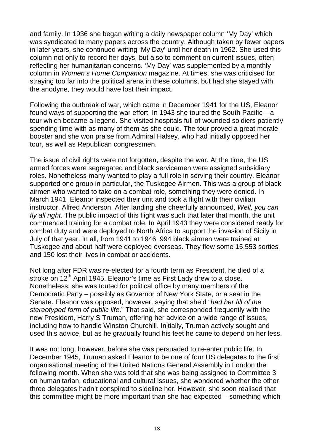and family. In 1936 she began writing a daily newspaper column 'My Day' which was syndicated to many papers across the country. Although taken by fewer papers in later years, she continued writing 'My Day' until her death in 1962. She used this column not only to record her days, but also to comment on current issues, often reflecting her humanitarian concerns. 'My Day' was supplemented by a monthly column in Women's Home Companion magazine. At times, she was criticised for straying too far into the political arena in these columns, but had she stayed with the anodyne, they would have lost their impact.

Following the outbreak of war, which came in December 1941 for the US, Eleanor found ways of supporting the war effort. In 1943 she toured the South Pacific – a tour which became a legend. She visited hospitals full of wounded soldiers patiently spending time with as many of them as she could. The tour proved a great moralebooster and she won praise from Admiral Halsey, who had initially opposed her tour, as well as Republican congressmen.

The issue of civil rights were not forgotten, despite the war. At the time, the US armed forces were segregated and black servicemen were assigned subsidiary roles. Nonetheless many wanted to play a full role in serving their country. Eleanor supported one group in particular, the Tuskegee Airmen. This was a group of black airmen who wanted to take on a combat role, something they were denied. In March 1941, Eleanor inspected their unit and took a flight with their civilian instructor, Alfred Anderson. After landing she cheerfully announced, Well, you can fly all right. The public impact of this flight was such that later that month, the unit commenced training for a combat role. In April 1943 they were considered ready for combat duty and were deployed to North Africa to support the invasion of Sicily in July of that year. In all, from 1941 to 1946, 994 black airmen were trained at Tuskegee and about half were deployed overseas. They flew some 15,553 sorties and 150 lost their lives in combat or accidents.

Not long after FDR was re-elected for a fourth term as President, he died of a stroke on 12<sup>th</sup> April 1945. Eleanor's time as First Lady drew to a close. Nonetheless, she was touted for political office by many members of the Democratic Party – possibly as Governor of New York State, or a seat in the Senate. Eleanor was opposed, however, saying that she'd "had her fill of the stereotyped form of public life." That said, she corresponded frequently with the new President, Harry S Truman, offering her advice on a wide range of issues, including how to handle Winston Churchill. Initially, Truman actively sought and used this advice, but as he gradually found his feet he came to depend on her less.

It was not long, however, before she was persuaded to re-enter public life. In December 1945, Truman asked Eleanor to be one of four US delegates to the first organisational meeting of the United Nations General Assembly in London the following month. When she was told that she was being assigned to Committee 3 on humanitarian, educational and cultural issues, she wondered whether the other three delegates hadn't conspired to sideline her. However, she soon realised that this committee might be more important than she had expected – something which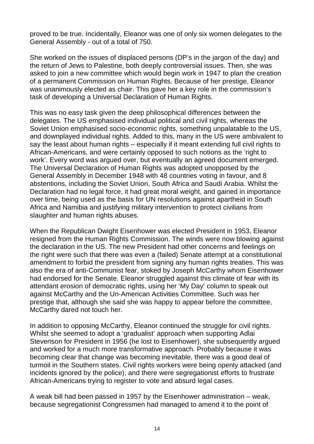proved to be true. Incidentally, Eleanor was one of only six women delegates to the General Assembly - out of a total of 750.

She worked on the issues of displaced persons (DP's in the jargon of the day) and the return of Jews to Palestine, both deeply controversial issues. Then, she was asked to join a new committee which would begin work in 1947 to plan the creation of a permanent Commission on Human Rights. Because of her prestige, Eleanor was unanimously elected as chair. This gave her a key role in the commission's task of developing a Universal Declaration of Human Rights.

This was no easy task given the deep philosophical differences between the delegates. The US emphasised individual political and civil rights, whereas the Soviet Union emphasised socio-economic rights, something unpalatable to the US, and downplayed individual rights. Added to this, many in the US were ambivalent to say the least about human rights – especially if it meant extending full civil rights to African-Americans, and were certainly opposed to such notions as the 'right to work'. Every word was argued over, but eventually an agreed document emerged. The Universal Declaration of Human Rights was adopted unopposed by the General Assembly in December 1948 with 48 countries voting in favour, and 8 abstentions, including the Soviet Union, South Africa and Saudi Arabia. Whilst the Declaration had no legal force, it had great moral weight, and gained in importance over time, being used as the basis for UN resolutions against apartheid in South Africa and Namibia and justifying military intervention to protect civilians from slaughter and human rights abuses.

When the Republican Dwight Eisenhower was elected President in 1953, Eleanor resigned from the Human Rights Commission. The winds were now blowing against the declaration in the US. The new President had other concerns and feelings on the right were such that there was even a (failed) Senate attempt at a constitutional amendment to forbid the president from signing any human rights treaties. This was also the era of anti-Communist fear, stoked by Joseph McCarthy whom Eisenhower had endorsed for the Senate. Eleanor struggled against this climate of fear with its attendant erosion of democratic rights, using her 'My Day' column to speak out against McCarthy and the Un-American Activities Committee. Such was her prestige that, although she said she was happy to appear before the committee, McCarthy dared not touch her.

In addition to opposing McCarthy, Eleanor continued the struggle for civil rights. Whilst she seemed to adopt a 'gradualist' approach when supporting Adlai Stevenson for President in 1956 (he lost to Eisenhower), she subsequently argued and worked for a much more transformative approach. Probably because it was becoming clear that change was becoming inevitable, there was a good deal of turmoil in the Southern states. Civil rights workers were being openly attacked (and incidents ignored by the police), and there were segregationist efforts to frustrate African-Americans trying to register to vote and absurd legal cases.

A weak bill had been passed in 1957 by the Eisenhower administration – weak, because segregationist Congressmen had managed to amend it to the point of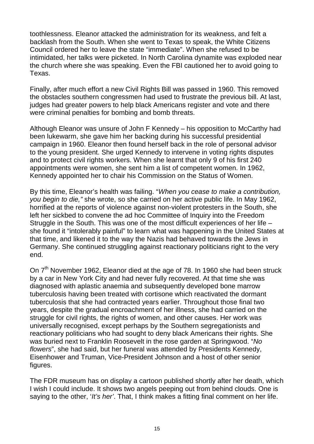toothlessness. Eleanor attacked the administration for its weakness, and felt a backlash from the South. When she went to Texas to speak, the White Citizens Council ordered her to leave the state "immediate". When she refused to be intimidated, her talks were picketed. In North Carolina dynamite was exploded near the church where she was speaking. Even the FBI cautioned her to avoid going to Texas.

Finally, after much effort a new Civil Rights Bill was passed in 1960. This removed the obstacles southern congressmen had used to frustrate the previous bill. At last, judges had greater powers to help black Americans register and vote and there were criminal penalties for bombing and bomb threats.

Although Eleanor was unsure of John F Kennedy – his opposition to McCarthy had been lukewarm, she gave him her backing during his successful presidential campaign in 1960. Eleanor then found herself back in the role of personal advisor to the young president. She urged Kennedy to intervene in voting rights disputes and to protect civil rights workers. When she learnt that only 9 of his first 240 appointments were women, she sent him a list of competent women. In 1962, Kennedy appointed her to chair his Commission on the Status of Women.

By this time, Eleanor's health was failing. "When you cease to make a contribution, you begin to die," she wrote, so she carried on her active public life. In May 1962, horrified at the reports of violence against non-violent protesters in the South, she left her sickbed to convene the ad hoc Committee of Inquiry into the Freedom Struggle in the South. This was one of the most difficult experiences of her life – she found it "intolerably painful" to learn what was happening in the United States at that time, and likened it to the way the Nazis had behaved towards the Jews in Germany. She continued struggling against reactionary politicians right to the very end.

On 7<sup>th</sup> November 1962, Eleanor died at the age of 78. In 1960 she had been struck by a car in New York City and had never fully recovered. At that time she was diagnosed with aplastic anaemia and subsequently developed bone marrow tuberculosis having been treated with cortisone which reactivated the dormant tuberculosis that she had contracted years earlier. Throughout those final two years, despite the gradual encroachment of her illness, she had carried on the struggle for civil rights, the rights of women, and other causes. Her work was universally recognised, except perhaps by the Southern segregationists and reactionary politicians who had sought to deny black Americans their rights. She was buried next to Franklin Roosevelt in the rose garden at Springwood. "No flowers", she had said, but her funeral was attended by Presidents Kennedy, Eisenhower and Truman, Vice-President Johnson and a host of other senior figures.

The FDR museum has on display a cartoon published shortly after her death, which I wish I could include. It shows two angels peeping out from behind clouds. One is saying to the other, 'It's her'. That, I think makes a fitting final comment on her life.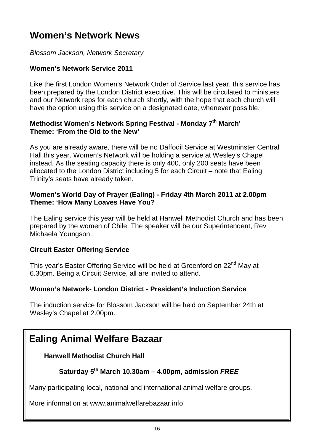# **Women's Network News**

Blossom Jackson, Network Secretary

#### **Women's Network Service 2011**

Like the first London Women's Network Order of Service last year, this service has been prepared by the London District executive. This will be circulated to ministers and our Network reps for each church shortly, with the hope that each church will have the option using this service on a designated date, whenever possible.

#### **Methodist Women's Network Spring Festival - Monday 7 th March**' **Theme: 'From the Old to the New'**

As you are already aware, there will be no Daffodil Service at Westminster Central Hall this year. Women's Network will be holding a service at Wesley's Chapel instead. As the seating capacity there is only 400, only 200 seats have been allocated to the London District including 5 for each Circuit – note that Ealing Trinity's seats have already taken.

#### **Women's World Day of Prayer (Ealing) - Friday 4th March 2011 at 2.00pm Theme: 'How Many Loaves Have You?**

The Ealing service this year will be held at Hanwell Methodist Church and has been prepared by the women of Chile. The speaker will be our Superintendent, Rev Michaela Youngson.

#### **Circuit Easter Offering Service**

This year's Easter Offering Service will be held at Greenford on 22<sup>nd</sup> May at 6.30pm. Being a Circuit Service, all are invited to attend.

#### **Women's Network- London District - President's Induction Service**

The induction service for Blossom Jackson will be held on September 24th at Wesley's Chapel at 2.00pm.

# **Ealing Animal Welfare Bazaar**

#### **Hanwell Methodist Church Hall**

#### **Saturday 5th March 10.30am – 4.00pm, admission FREE**

Many participating local, national and international animal welfare groups.

More information at www.animalwelfarebazaar.info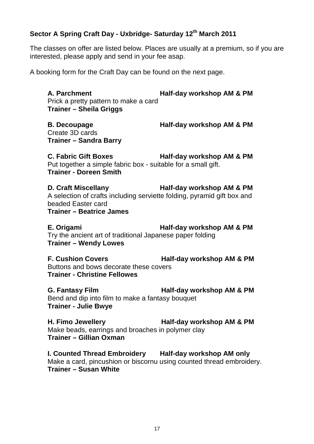#### **Sector A Spring Craft Day - Uxbridge- Saturday 12th March 2011**

The classes on offer are listed below. Places are usually at a premium, so if you are interested, please apply and send in your fee asap.

A booking form for the Craft Day can be found on the next page.

**A. Parchment Half-day workshop AM & PM** Prick a pretty pattern to make a card **Trainer – Sheila Griggs** 

Create 3D cards **Trainer – Sandra Barry**

**B. Decoupage Half-day workshop AM & PM**

**C. Fabric Gift Boxes Half-day workshop AM & PM** Put together a simple fabric box - suitable for a small gift. **Trainer - Doreen Smith**

**D. Craft Miscellany Half-day workshop AM & PM** A selection of crafts including serviette folding, pyramid gift box and beaded Easter card **Trainer – Beatrice James**

**E. Origami Half-day workshop AM & PM** Try the ancient art of traditional Japanese paper folding **Trainer – Wendy Lowes**

**F. Cushion Covers Half-day workshop AM & PM** Buttons and bows decorate these covers **Trainer - Christine Fellowes**

**G. Fantasy Film Half-day workshop AM & PM** Bend and dip into film to make a fantasy bouquet **Trainer - Julie Bwye**

**H. Fimo Jewellery Half-day workshop AM & PM**  Make beads, earrings and broaches in polymer clay **Trainer – Gillian Oxman** 

**I. Counted Thread Embroidery Half-day workshop AM only**  Make a card, pincushion or biscornu using counted thread embroidery. **Trainer – Susan White**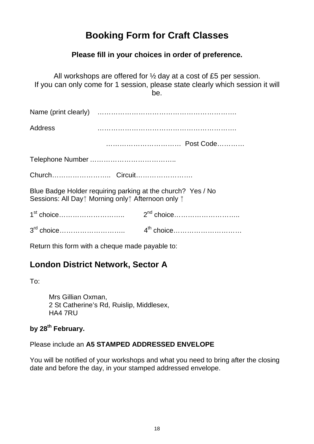# **Booking Form for Craft Classes**

#### **Please fill in your choices in order of preference.**

All workshops are offered for ½ day at a cost of £5 per session. If you can only come for 1 session, please state clearly which session it will be.

Name (print clearly) …………………………………………………….

Address …………………………………………………….

…………………………… Post Code…………

Telephone Number ………………………………..

Church…………………….. Circuit…………………….

Blue Badge Holder requiring parking at the church? Yes / No Sessions: All Day<sup>®</sup> Morning only<sup>®</sup> Afternoon only <sup>®</sup>

Return this form with a cheque made payable to:

#### **London District Network, Sector A**

To:

Mrs Gillian Oxman, 2 St Catherine's Rd, Ruislip, Middlesex, HA4 7RU

#### **by 28th February.**

Please include an **A5 STAMPED ADDRESSED ENVELOPE**

You will be notified of your workshops and what you need to bring after the closing date and before the day, in your stamped addressed envelope.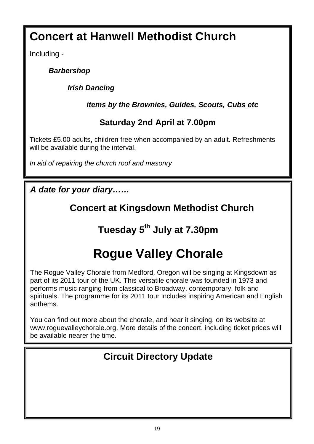# **Concert at Hanwell Methodist Church**

Including -

### **Barbershop**

**Irish Dancing** 

**items by the Brownies, Guides, Scouts, Cubs etc** 

# **Saturday 2nd April at 7.00pm**

Tickets £5.00 adults, children free when accompanied by an adult. Refreshments will be available during the interval.

In aid of repairing the church roof and masonry

**A date for your diary……** 

# **Concert at Kingsdown Methodist Church**

# **Tuesday 5th July at 7.30pm**

# **Rogue Valley Chorale**

The Rogue Valley Chorale from Medford, Oregon will be singing at Kingsdown as part of its 2011 tour of the UK. This versatile chorale was founded in 1973 and performs music ranging from classical to Broadway, contemporary, folk and spirituals. The programme for its 2011 tour includes inspiring American and English anthems.

You can find out more about the chorale, and hear it singing, on its website at www.roguevalleychorale.org. More details of the concert, including ticket prices will be available nearer the time.

# **Circuit Directory Update**